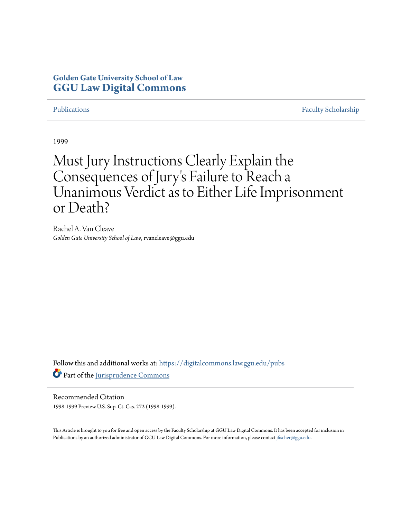### **Golden Gate University School of Law [GGU Law Digital Commons](https://digitalcommons.law.ggu.edu?utm_source=digitalcommons.law.ggu.edu%2Fpubs%2F681&utm_medium=PDF&utm_campaign=PDFCoverPages)**

[Publications](https://digitalcommons.law.ggu.edu/pubs?utm_source=digitalcommons.law.ggu.edu%2Fpubs%2F681&utm_medium=PDF&utm_campaign=PDFCoverPages) [Faculty Scholarship](https://digitalcommons.law.ggu.edu/facultyschol?utm_source=digitalcommons.law.ggu.edu%2Fpubs%2F681&utm_medium=PDF&utm_campaign=PDFCoverPages)

1999

## Must Jury Instructions Clearly Explain the Consequences of Jury 's Failure to Reach a Unanimous Verdict as to Either Life Imprisonment or Death?

Rachel A. Van Cleave *Golden Gate University School of Law*, rvancleave@ggu.edu

Follow this and additional works at: [https://digitalcommons.law.ggu.edu/pubs](https://digitalcommons.law.ggu.edu/pubs?utm_source=digitalcommons.law.ggu.edu%2Fpubs%2F681&utm_medium=PDF&utm_campaign=PDFCoverPages) Part of the [Jurisprudence Commons](http://network.bepress.com/hgg/discipline/610?utm_source=digitalcommons.law.ggu.edu%2Fpubs%2F681&utm_medium=PDF&utm_campaign=PDFCoverPages)

Recommended Citation 1998-1999 Preview U.S. Sup. Ct. Cas. 272 (1998-1999).

This Article is brought to you for free and open access by the Faculty Scholarship at GGU Law Digital Commons. It has been accepted for inclusion in Publications by an authorized administrator of GGU Law Digital Commons. For more information, please contact [jfischer@ggu.edu](mailto:jfischer@ggu.edu).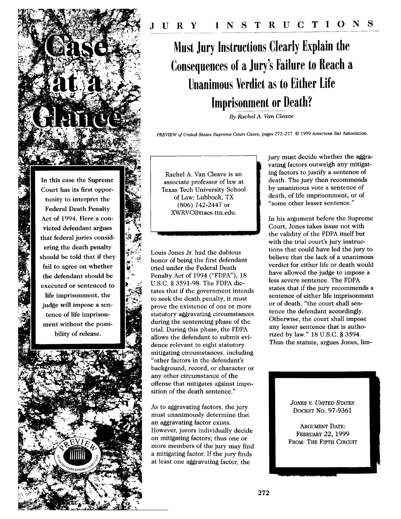# **Must Jury Instructions Clearly Explain the Consequences of a Jury's Failure to Reach a Unanimous Verdict as to Either Life Imprisonment or Death?**

*By Rachel A. Van Cleave*

*PREVIEW of United* States *Supreme Court Cases,* pages **272-277. © 1999** American Bar Association.

In this case the Supreme Court has its first opportunity to interpret the **Federal Death Penalty** Act of 1994. Here a convicted defendant argues that federal juries considering the death penalty should be told that if they fail to agree on whether the defendant should be executed or sentenced to life imprisonment, the judge will impose a sentence of life imprisonment without the possibility of release.

Rachel A. Van Cleave is an associate professor of law at Texas Tech University School of Law; Lubbock, TX (806) 742-2447 or XWRVC@ttacs.ttu.edu.

Louis Jones Jr. had the dubious honor of being the first defendant tried under the Federal Death Penalty Act of 1994 ("FDPA"), 18 U.S.C. § 3591-98. The FDPA dictates that if the government intends to seek the death penalty, it must prove the existence of one or more statutory aggravating circumstances during the sentencing phase of the trial. During this phase, the FDPA allows the defendant to submit evidence relevant to eight statutory mitigating circumstances, including "other factors in the defendant's background, record, or character or any other circumstance of the offense that mitigates against imposition of the death sentence."

As to aggravating factors, the jury must unanimously determine that an aggravating factor exists. However, jurors individually decide on mitigating factors; thus one or more members of the jury may find a mitigating factor. If the jury finds at least one aggravating factor, the

"ti

jury must decide whether the aggravating factors outweigh any mitigating factors to justify a sentence of death. The jury then recommends by unanimous vote a sentence of death, of life imprisonment, or of "some other lesser sentence."

In his argument before the Supreme Court, Jones takes issue not with the validity of the FDPA itself but with the trial court's jury instructions that could have led the jury to believe that the lack of a unanimous verdict for either life or death would have allowed the judge to impose a less severe sentence. The FDPA states that if the jury recommends a sentence of either life imprisonment or of death, "the court shall sentence the defendant accordingly. Otherwise, the court shall impose any lesser sentence that is authorized by law." 18 U.S.C. § 3594. Thus the statute, argues Jones, lim-

> *JONES V. UNITED STATES* DOCKET No. 97-9361

 $\blacksquare$ 

ARGUMENT DATE: FEBRUARY 22, 1999 FROM: THE FIFTH CIRCUIT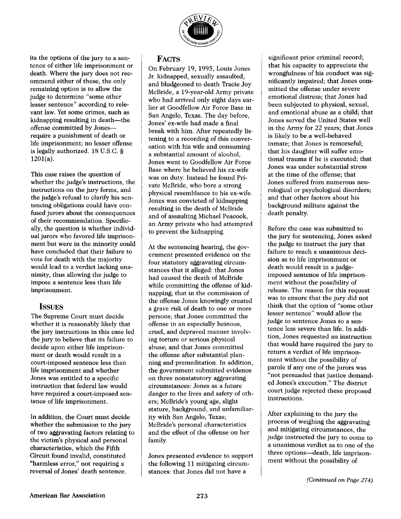

its the options of the jury to a sentence of either life imprisonment or death. Where the jury does not recommend either of these, the only remaining option is to allow the judge to determine "some other lesser sentence" according to relevant law. Yet some crimes, such as kidnapping resulting in death-the offense committed by Jonesrequire a punishment of death or life imprisonment; no lesser offense is legally authorized. 18 U.S.C. §  $1201(a)$ .

This case raises the question of whether the judge's instructions, the instructions on the jury forms, and the judge's refusal to clarify his sentencing obligations could have confused jurors about the consequences of their recommendation. Specifically, the question is whether individual jurors who favored life imprisonment but were in the minority could have concluded that their failure to vote for death with the majority would lead to a verdict lacking unanimity, thus allowing the judge to impose a sentence less than life imprisonment.

#### **ISSUES**

The Supreme Court must decide whether **it** is reasonably likely that the jury instructions in this case led the jury to believe that its failure to decide upon either life imprisonment or death would result in a court-imposed sentence less than life imprisonment and whether Jones was entitled to a specific instruction that federal law would have required a court-imposed sentence of life imprisonment.

In addition, the Court must decide whether the submission to the jury of two aggravating factors relating to the victim's physical and personal characteristics, which the Fifth Circuit found invalid, constituted "harmless error," not requiring a reversal of Jones' death sentence.

#### **FACTS**

On February 19, 1995, Louis Jones Jr. kidnapped, sexually assaulted, and bludgeoned to death Tracie Joy McBride, a 19-year-old Army private who had arrived only eight days earlier at Goodfellow Air Force Base in San Angelo, Texas. The day before, Jones' ex-wife had made a final break with him. After repeatedly listening to a recording of this conversation with his wife and consuming a substantial amount of alcohol, Jones went to Goodfellow Air Force Base where he believed his ex-wife was on duty. Instead he found Private McBride, who bore a strong physical resemblance to his ex-wife. Jones was convicted of kidnapping resulting in the death of McBride and of assaulting Michael Peacock, an Army private who had attempted to prevent the kidnapping.

At the sentencing hearing, the government presented evidence on the four statutory aggravating circumstances that it alleged: that Jones had caused the death of McBride while committing the offense of kidnapping; that in the commission of the offense Jones knowingly created a grave risk of death to one or more persons; that Jones committed the offense in an especially heinous, cruel, and depraved manner involving torture or serious physical abuse; and that Jones committed the offense after substantial planning and premeditation. In addition, the government submitted evidence on three nonstatutory aggravating circumstances: Jones as a future danger to the lives and safety of others; McBride's young age, slight stature, background, and unfamiliarity with San Angelo, Texas; McBride's personal characteristics and the effect of the offense on her family.

Jones presented evidence to support the following 11 mitigating circumstances: that Jones did not have a

significant prior criminal record; that his capacity to appreciate the wrongfulness of his conduct was significantly impaired; that Jones committed the offense under severe emotional distress; that Jones had been subjected to physical, sexual, and emotional abuse as a child; that Jones served the United States well in the Army for 22 years; that Jones is likely to be a well-behaved inmate; that Jones is remorseful; that his daughter will suffer emotional trauma if he is executed; that Jones was under substantial stress at the time of the offense; that Jones suffered from numerous neurological or psychological disorders; and that other factors about his background militate against the death penalty.

Before the case was submitted to the jury for sentencing, Jones asked the judge to instruct the jury that failure to reach a unanimous decision as to life imprisonment or death would result in a judgeimposed sentence of life imprisonment without the possibility of release. The reason for this request was to ensure that the jury did not think that the option of "some other lesser sentence" would allow the judge to sentence Jones to a sentence less severe than life. In addition, Jones requested an instruction that would have required the jury to return a verdict of life imprisonment without the possibility of parole if any one of the jurors was "not persuaded that justice demanded Jones's execution." The district court judge rejected these proposed instructions.

After explaining to the jury the process of weighing the aggravating and mitigating circumstances, the judge instructed the jury to come to a unanimous verdict as to one of the three options—death, life imprisonment without the possibility of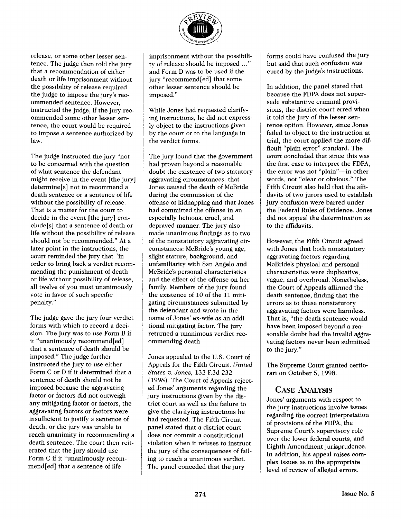

release, or some other lesser sentence. The judge then told the jury that a recommendation of either death or life imprisonment without the possibility of release required the judge to impose the jury's recommended sentence. However, instructed the judge, if the jury recommended some other lesser sentence, the court would be required to impose a sentence authorized by law.

The judge instructed the jury "not to be concerned with the question of what sentence the defendant might receive in the event [the jury] determine[s] not to recommend a death sentence or a sentence of life without the possibility of release. That is a matter for the court to decide in the event [the jury] conclude[s] that a sentence of death or life without the possibility of release should not be recommended." At a later point in the instructions, the court reminded the jury that "in order to bring back a verdict recommending the punishment of death or life without possibility of release, all twelve of you must unanimously vote in favor of such specific penalty."

The judge gave the jury four verdict forms with which to record a decision. The jury was to use Form B if it "unanimously recommend[ed] that a sentence of death should be imposed." The judge further instructed the jury to use either Form C or D if it determined that a sentence of death should not be imposed because the aggravating factor or factors did not outweigh any mitigating factor or factors, the aggravating factors or factors were insufficient to justify a sentence of death, or the jury was unable to reach unanimity in recommending a death sentence. The court then reiterated that the jury should use Form C if it "unanimously recommend[ed] that a sentence of life

imprisonment without the possibility of release should be imposed ..." and Form D was to be used if the jury "recommend[ed] that some other lesser sentence should be imposed."

While Jones had requested clarifying instructions, he did not expressly object to the instructions given by the court or to the language in the verdict forms.

The jury found that the government had proven beyond a reasonable doubt the existence of two statutory aggravating circumstances: that Jones caused the death of McBride during the commission of the offense of kidnapping and that Jones had committed the offense in an especially heinous, cruel, and depraved manner. The jury also made unanimous findings as to two of the nonstatutory aggravating circumstances: McBride's young age, slight stature, background, and unfamiliarity with San Angelo and McBride's personal characteristics and the effect of the offense on her family. Members of the jury found the existence of 10 of the 11 mitigating circumstances submitted by the defendant and wrote in the name of Jones' ex-wife as an additional mitigating factor. The jury returned a unanimous verdict recommending death.

Jones appealed to the U.S. Court of Appeals for the Fifth Circuit. *United States v. Jones,* 132 F.3d 232 (1998). The Court of Appeals rejected Jones' arguments regarding the jury instructions given by the district court as well as the failure to give the clarifying instructions he had requested. The Fifth Circuit panel stated that a district court does not commit a constitutional violation when it refuses to instruct the jury of the consequences of failing to reach a unanimous verdict. The panel conceded that the jury

forms could have confused the jury but said that such confusion was cured by the judge's instructions.

In addition, the panel stated that because the FDPA does not supersede substantive criminal provisions, the district court erred when it told the jury of the lesser sentence option. However, since Jones failed to object to the instruction at trial, the court applied the more difficult "plain error" standard. The court concluded that since this was the first case to interpret the FDPA, the error was not "plain"-in other words, not "clear or obvious." The Fifth Circuit also held that the affidavits of two jurors used to establish jury confusion were barred under the Federal Rules of Evidence. Jones did not appeal the determination as to the affidavits.

However, the Fifth Circuit agreed with Jones that both nonstatutory aggravating factors regarding McBride's physical and personal characteristics were duplicative, vague, and overbroad. Nonetheless, the Court of Appeals affirmed the death sentence, finding that the errors as to these nonstatutory aggravating factors were harmless. That is, "the death sentence would have been imposed beyond a reasonable doubt had the invalid aggravating factors never been submitted to the jury."

The Supreme Court granted certiorari on October 5, 1998.

#### CASE ANALYSIS

Jones' arguments with respect to the jury instructions involve issues regarding the correct interpretation of provisions of the FDPA, the Supreme Court's supervisory role over the lower federal courts, and Eighth Amendment jurisprudence. In addition, his appeal raises complex issues as to the appropriate level of review of alleged errors.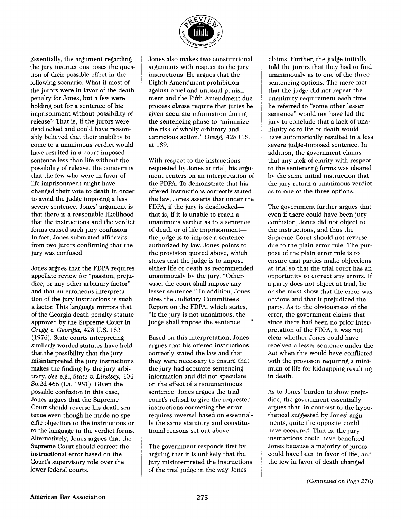

Essentially, the argument regarding the jury instructions poses the question of their possible effect in the following scenario. What if most of the jurors were in favor of the death penalty for Jones, but a few were holding out for a sentence of life imprisonment without possibility of release? That is, if the jurors were deadlocked and could have reasonably believed that their inability to come to a unanimous verdict would have resulted in a court-imposed sentence less than life without the possibility of release, the concern is that the few who were in favor of life imprisonment might have changed their vote to death in order to avoid the judge imposing a less severe sentence. Jones' argument is that there is a reasonable likelihood that the instructions and the verdict forms caused such jury confusion. In fact, Jones submitted affidavits from two jurors confirming that the jury was confused.

Jones argues that the FDPA requires appellate review for "passion, prejudice, or any other arbitrary factor" and that an erroneous interpretation of the jury instructions is such a factor. This language mirrors that of the Georgia death penalty statute approved by the Supreme Court in *Gregg v. Georgia,* 428 U.S. 153 (1976). State courts interpreting similarly worded statutes have held that the possibility that the jury misinterpreted the jury instructions makes the finding by the jury arbitrary. *See* e.g., *State v. Lindsey,* 404 So.2d 466 (La. 1981). Given the possible confusion in this case, Jones argues that the Supreme Court should reverse his death sentence even though he made no specific objection to the instructions or to the language in the verdict forms. Alternatively, Jones argues that the Supreme Court should correct the instructional error based on the Court's supervisory role over the lower federal courts.

Jones also makes two constitutional arguments with respect to the jury instructions. He argues that the Eighth Amendment prohibition against cruel and unusual punishment and the Fifth Amendment due process clause require that juries be given accurate information during the sentencing phase to "minimize the risk of wholly arbitrary and capricious action." *Gregg,* 428 U.S. at 189.

With respect to the instructions requested by Jones at trial, his argument centers on an interpretation of the FDPA. To demonstrate that his offered instructions correctly stated the law, Jones asserts that under the FDPA, if the jury is deadlockedthat is, if it is unable to reach a unanimous verdict as to a sentence of death or of life imprisonmentthe judge is to impose a sentence authorized by law. Jones points to the provision quoted above, which states that the judge is to impose either life or death as recommended unanimously by the jury. "Otherwise, the court shall impose any lesser sentence." In addition, Jones cites the Judiciary Committee's Report on the FDPA, which states, "If the jury is not unanimous, the judge shall impose the sentence...."

Based on this interpretation, Jones argues that his offered instructions correctly stated the law and that they were necessary to ensure that the jury had accurate sentencing information and did not speculate on the effect of a nonunanimous sentence. Jones argues the trial court's refusal to give the requested instructions correcting the error requires reversal based on essentially the same statutory and constitutional reasons set out above.

The government responds first by arguing that it is unlikely that the jury misinterpreted the instructions of the trial judge in the way Jones

claims. Further, the judge initially told the jurors that they had to find unanimously as to one of the three sentencing options. The mere fact that the judge did not repeat the unanimity requirement each time he referred to "some other lesser sentence" would not have led the jury to conclude that a lack of unanimity as to life or death would have automatically resulted in a less severe judge-imposed sentence. In addition, the government claims that any lack of clarity with respect to the sentencing forms was cleared by the same initial instruction that the jury return a unanimous verdict as to one of the three options.

The government further argues that even if there could have been jury confusion, Jones did not object to the instructions, and thus the Supreme Court should not reverse due to the plain error rule. The purpose of the plain error rule is to ensure that parties make objections at trial so that the trial court has an opportunity to correct any errors. If a party does not object at trial, he or she must show that the error was obvious and that it prejudiced the party. As to the obviousness of the error, the government claims that since there had been no prior interpretation of the FDPA, it was not clear whether Jones could have received a lesser sentence under the Act when this would have conflicted with the provision requiring a minimum of life for kidnapping resulting in death.

As to Jones' burden to show prejudice, the government essentially argues that, in contrast to the hypothetical suggested by Jones' arguments, quite the opposite could have occurred. That is, the jury instructions could have benefited Jones because a majority of jurors could have been in favor of life, and the few in favor of death changed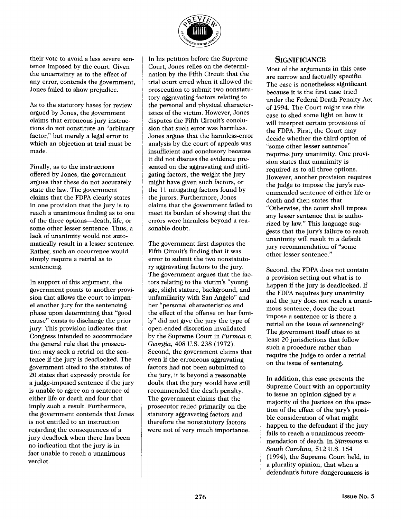

their vote to avoid a less severe sentence imposed by the court. Given the uncertainty as to the effect of any error, contends the government, Jones failed to show prejudice.

As to the statutory bases for review argued by Jones, the government claims that erroneous jury instructions do not constitute an "arbitrary factor," but merely a legal error to which an objection at trial must be made.

Finally, as to the instructions offered by Jones, the government argues that these do not accurately state the law. The government claims that the FDPA clearly states in one provision that the jury is to reach a unanimous finding as to one of the three options-death, life, or some other lesser sentence. Thus, a lack of unanimity would not automatically result in a lesser sentence. Rather, such an occurrence would simply require a retrial as to sentencing.

In support of this argument, the government points to another provision that allows the court to impanel another jury for the sentencing phase upon determining that "good cause" exists to discharge the prior jury. This provision indicates that Congress intended to accommodate the general rule that the prosecution may seek a retrial on the sentence if the jury is deadlocked. The government cited to the statutes of 20 states that expressly provide for a judge-imposed sentence if the jury is unable to agree on a sentence of either life or death and four that imply such a result. Furthermore, the government contends that Jones is not entitled to an instruction regarding the consequences of a jury deadlock when there has been no indication that the jury is in fact unable to reach a unanimous verdict.

In his petition before the Supreme Court, Jones relies on the determination by the Fifth Circuit that the trial court erred when it allowed the prosecution to submit two nonstatutory aggravating factors relating to the personal and physical characteristics of the victim. However, Jones disputes the Fifth Circuit's conclusion that such error was harmless. Jones argues that the harmless-error analysis by the court of appeals was insufficient and conclusory because it did not discuss the evidence presented on the aggravating and mitigating factors, the weight the jury might have given such factors, or the 11 mitigating factors found by the jurors. Furthermore, Jones claims that the government failed to meet its burden of showing that the errors were harmless beyond a reasonable doubt.

The government first disputes the Fifth Circuit's finding that it was error to submit the two nonstatutory aggravating factors to the jury. The government argues that the factors relating to the victim's "young age, slight stature, background, and unfamiliarity with San Angelo" and her "personal characteristics and the effect of the offense on her family" did not give the jury the type of open-ended discretion invalidated by the Supreme Court in *Furman v. Georgia,* 408 U.S. 238 (1972). Second, the government claims that even if the erroneous aggravating factors had not been submitted to the jury, it is beyond a reasonable doubt that the jury would have still recommended the death penalty. The government claims that the prosecutor relied primarily on the statutory aggravating factors and therefore the nonstatutory factors were not of very much importance.

#### **SIGNIFICANCE**

Most of the arguments in this case are narrow and factually specific. The case is nonetheless significant because it is the first case tried under the Federal Death Penalty Act of 1994. The Court might use this case to shed some light on how it will interpret certain provisions of the FDPA. First, the Court may decide whether the third option of ''some other lesser sentence" requires jury unanimity. One provision **states** that unanimity is required as to all three options. However, another provision requires the judge to impose the jury's recommended sentence of either life or death and then states that "Otherwise, the court shall impose any lesser sentence that is authorized by law." This language suggests that the jury's failure to reach unanimity will result in a default jury recommendation of "some other lesser sentence."

Second, the FDPA does not contain a provision setting out what is to happen if the jury is deadlocked. If the FDPA requires jury unanimity and the jury does not reach a unanimous sentence, does the court impose a sentence or is there a retrial on the issue of sentencing? The government itself cites to at least 20 jurisdictions that follow such a procedure rather than require the judge to order a retrial on the issue of sentencing.

In addition, this case presents the Supreme Court with an opportunity to issue an opinion signed by a majority of the justices on the question of the effect of the jury's possible consideration of what might happen to the defendant if the jury fails to reach a unanimous recommendation of death. In *Simmons v. South Carolina,* 512 U.S. 154 (1994), the Supreme Court held, in a plurality opinion, that when a defendant's future dangerousness is